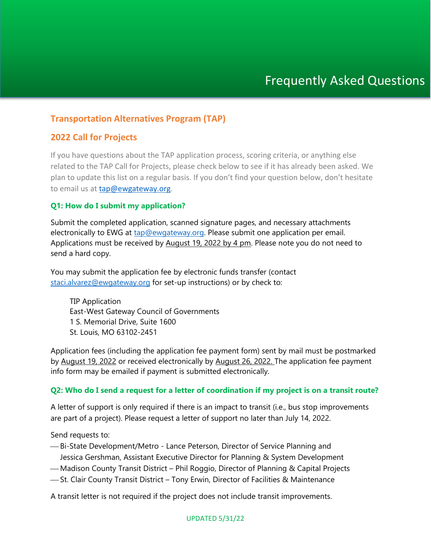# **Transportation Alternatives Program (TAP)**

# **2022 Call for Projects**

If you have questions about the TAP application process, scoring criteria, or anything else related to the TAP Call for Projects, please check below to see if it has already been asked. We plan to update this list on a regular basis. If you don't find your question below, don't hesitate to email us at [tap@ewgateway.org.](mailto:tap@ewgateway.org)

## **Q1: How do I submit my application?**

Submit the completed application, scanned signature pages, and necessary attachments electronically to EWG at [tap@ewgateway.org.](mailto:tap@ewgateway.org) Please submit one application per email. Applications must be received by August 19, 2022 by 4 pm. Please note you do not need to send a hard copy.

You may submit the application fee by electronic funds transfer (contact [staci.alvarez@ewgateway.org](mailto:staci.alvarez@ewgateway.org) for set-up instructions) or by check to:

TIP Application East-West Gateway Council of Governments 1 S. Memorial Drive, Suite 1600 St. Louis, MO 63102-2451

Application fees (including the application fee payment form) sent by mail must be postmarked by August 19, 2022 or received electronically by August 26, 2022. The application fee payment info form may be emailed if payment is submitted electronically.

## **Q2: Who do I send a request for a letter of coordination if my project is on a transit route?**

A letter of support is only required if there is an impact to transit (i.e., bus stop improvements are part of a project). Please request a letter of support no later than July 14, 2022.

Send requests to:

- Bi-State Development/Metro Lance Peterson, Director of Service Planning and Jessica Gershman, Assistant Executive Director for Planning & System Development
- Madison County Transit District Phil Roggio, Director of Planning & Capital Projects
- -St. Clair County Transit District Tony Erwin, Director of Facilities & Maintenance

A transit letter is not required if the project does not include transit improvements.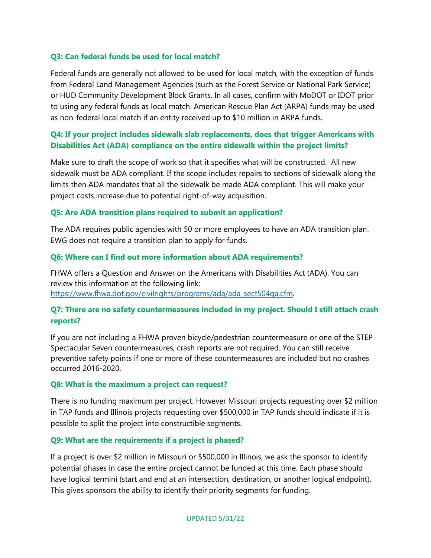## **Q3: Can federal funds be used for local match?**

Federal funds are generally not allowed to be used for local match, with the exception of funds from Federal Land Management Agencies (such as the Forest Service or National Park Service) or HUD Community Development Block Grants. In all cases, confirm with MoDOT or IDOT prior to using any federal funds as local match. American Rescue Plan Act (ARPA) funds may be used as non-federal local match if an entity received up to \$10 million in ARPA funds.

## **Q4: If your project includes sidewalk slab replacements, does that trigger Americans with Disabilities Act (ADA) compliance on the entire sidewalk within the project limits?**

Make sure to draft the scope of work so that it specifies what will be constructed. All new sidewalk must be ADA compliant. If the scope includes repairs to sections of sidewalk along the limits then ADA mandates that all the sidewalk be made ADA compliant. This will make your project costs increase due to potential right-of-way acquisition.

#### **Q5: Are ADA transition plans required to submit an application?**

The ADA requires public agencies with 50 or more employees to have an ADA transition plan. EWG does not require a transition plan to apply for funds.

#### **Q6: Where can I find out more information about ADA requirements?**

FHWA offers a Question and Answer on the Americans with Disabilities Act (ADA). You can review this information at the following link: [https://www.fhwa.dot.gov/civilrights/programs/ada/ada\\_sect504qa.cfm.](https://www.fhwa.dot.gov/civilrights/programs/ada/ada_sect504qa.cfm)

# **Q7: There are no safety countermeasures included in my project. Should I still attach crash reports?**

If you are not including a FHWA proven bicycle/pedestrian countermeasure or one of the STEP Spectacular Seven countermeasures, crash reports are not required. You can still receive preventive safety points if one or more of these countermeasures are included but no crashes occurred 2016-2020.

#### **Q8: What is the maximum a project can request?**

There is no funding maximum per project. However Missouri projects requesting over \$2 million in TAP funds and Illinois projects requesting over \$500,000 in TAP funds should indicate if it is possible to split the project into constructible segments.

## **Q9: What are the requirements if a project is phased?**

If a project is over \$2 million in Missouri or \$500,000 in Illinois, we ask the sponsor to identify potential phases in case the entire project cannot be funded at this time. Each phase should have logical termini (start and end at an intersection, destination, or another logical endpoint). This gives sponsors the ability to identify their priority segments for funding.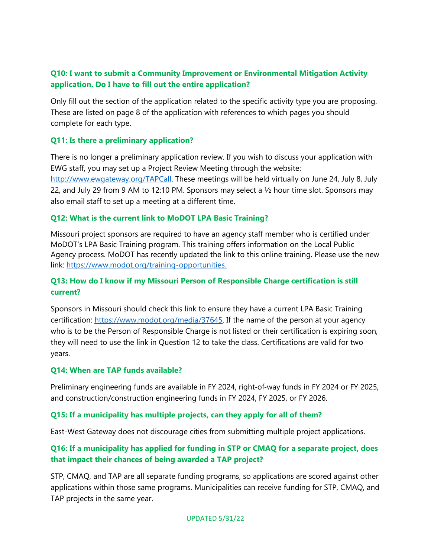# **Q10: I want to submit a Community Improvement or Environmental Mitigation Activity application. Do I have to fill out the entire application?**

Only fill out the section of the application related to the specific activity type you are proposing. These are listed on page 8 of the application with references to which pages you should complete for each type.

# **Q11: Is there a preliminary application?**

There is no longer a preliminary application review. If you wish to discuss your application with EWG staff, you may set up a Project Review Meeting through the website: [http://www.ewgateway.org/TAPCall.](http://www.ewgateway.org/TAPCall) These meetings will be held virtually on June 24, July 8, July 22, and July 29 from 9 AM to 12:10 PM. Sponsors may select a ½ hour time slot. Sponsors may also email staff to set up a meeting at a different time.

## **Q12: What is the current link to MoDOT LPA Basic Training?**

Missouri project sponsors are required to have an agency staff member who is certified under MoDOT's LPA Basic Training program. This training offers information on the Local Public Agency process. MoDOT has recently updated the link to this online training. Please use the new link: [https://www.modot.org/training-opportunities.](https://www.modot.org/training-opportunities) 

# **Q13: How do I know if my Missouri Person of Responsible Charge certification is still current?**

Sponsors in Missouri should check this link to ensure they have a current LPA Basic Training certification: https://www.modot.org/media/37645. If the name of the person at your agency who is to be the Person of Responsible Charge is not listed or their certification is expiring soon, they will need to use the link in Question 12 to take the class. Certifications are valid for two years.

## **Q14: When are TAP funds available?**

Preliminary engineering funds are available in FY 2024, right‐of‐way funds in FY 2024 or FY 2025, and construction/construction engineering funds in FY 2024, FY 2025, or FY 2026.

## **Q15: If a municipality has multiple projects, can they apply for all of them?**

East-West Gateway does not discourage cities from submitting multiple project applications.

# **Q16: If a municipality has applied for funding in STP or CMAQ for a separate project, does that impact their chances of being awarded a TAP project?**

STP, CMAQ, and TAP are all separate funding programs, so applications are scored against other applications within those same programs. Municipalities can receive funding for STP, CMAQ, and TAP projects in the same year.